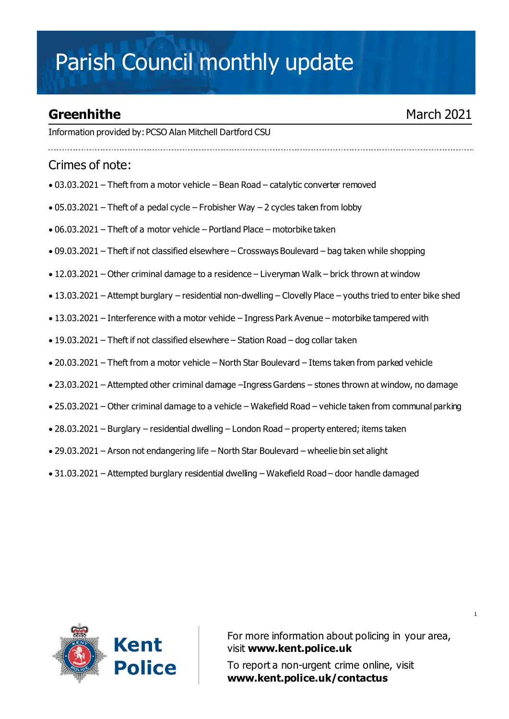# Parish Council monthly update

## **Greenhithe** March 2021

Information provided by:PCSO Alan Mitchell Dartford CSU

#### Crimes of note:

- 03.03.2021 Theft from a motor vehicle Bean Road catalytic converter removed
- 05.03.2021 Theft of a pedal cycle Frobisher Way 2 cycles taken from lobby
- 06.03.2021 Theft of a motor vehicle Portland Place motorbike taken
- 09.03.2021 Theft if not classified elsewhere Crossways Boulevard bag taken while shopping
- 12.03.2021 Other criminal damage to a residence Liveryman Walk brick thrown at window
- 13.03.2021 Attempt burglary residential non-dwelling Clovelly Place youths tried to enter bike shed
- $\bullet$  13.03.2021 Interference with a motor vehide Ingress Park Avenue motorbike tampered with
- 19.03.2021 Theft if not classified elsewhere Station Road dog collar taken
- 20.03.2021 Theft from a motor vehicle North Star Boulevard Items taken from parked vehicle
- 23.03.2021 Attempted other criminal damage –Ingress Gardens stones thrown at window, no damage
- 25.03.2021 Other criminal damage to a vehicle Wakefield Road vehicle taken from communal parking
- 28.03.2021 Burglary residential dwelling London Road property entered; items taken
- 29.03.2021 Arson not endangering life North Star Boulevard wheelie bin set alight
- 31.03.2021 Attempted burglary residential dwelling Wakefield Road door handle damaged



For more information about policing in your area, visit **[www.kent.police.uk](http://www.kent.police.uk/)** To report a non-urgent crime online, visit

**www.kent.police.uk/contactus**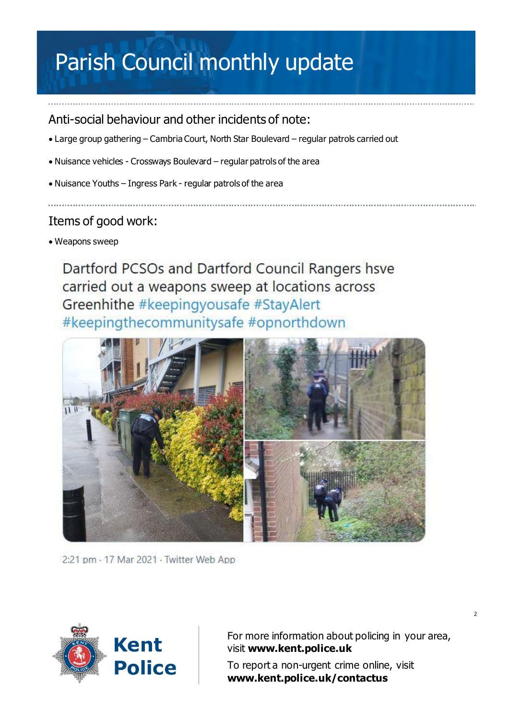# Parish Council monthly update

### Anti-social behaviour and other incidents of note:

- Large group gathering Cambria Court, North Star Boulevard regular patrols carried out
- Nuisance vehicles Crossways Boulevard regular patrols of the area
- Nuisance Youths Ingress Park regular patrols of the area

### Items of good work:

• Weapons sweep

Dartford PCSOs and Dartford Council Rangers hsve carried out a weapons sweep at locations across Greenhithe #keepingyousafe #StayAlert #keepingthecommunitysafe #opnorthdown



2:21 pm · 17 Mar 2021 · Twitter Web App



For more information about policing in your area, visit **[www.kent.police.uk](http://www.kent.police.uk/)**

To report a non-urgent crime online, visit **www.kent.police.uk/contactus**